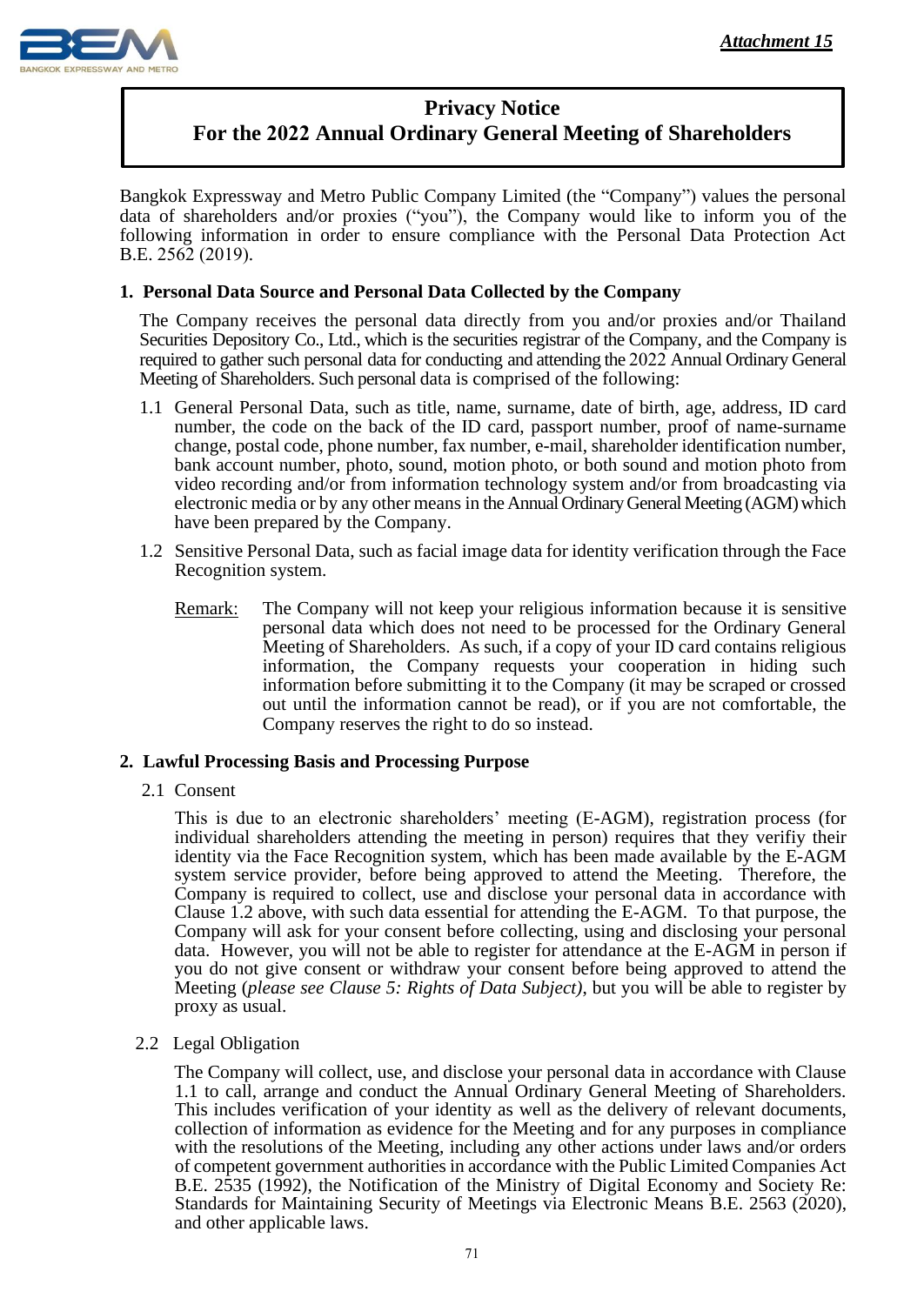

## **Privacy Notice For the 2022 Annual Ordinary General Meeting of Shareholders**

Bangkok Expressway and Metro Public Company Limited (the "Company") values the personal data of shareholders and/or proxies ("you"), the Company would like to inform you of the following information in order to ensure compliance with the Personal Data Protection Act B.E. 2562 (2019).

## **1. Personal Data Source and Personal Data Collected by the Company**

The Company receives the personal data directly from you and/or proxies and/or Thailand Securities Depository Co., Ltd., which is the securities registrar of the Company, and the Company is required to gather such personal data for conducting and attending the 2022 Annual Ordinary General Meeting of Shareholders. Such personal data is comprised of the following:

- 1.1 General Personal Data, such as title, name, surname, date of birth, age, address, ID card number, the code on the back of the ID card, passport number, proof of name-surname change, postal code, phone number, fax number, e-mail, shareholder identification number, bank account number, photo, sound, motion photo, or both sound and motion photo from video recording and/or from information technology system and/or from broadcasting via electronic media or by any other means in the Annual Ordinary General Meeting (AGM) which have been prepared by the Company.
- 1.2 Sensitive Personal Data, such as facial image data for identity verification through the Face Recognition system.
	- Remark: The Company will not keep your religious information because it is sensitive personal data which does not need to be processed for the Ordinary General Meeting of Shareholders. As such, if a copy of your ID card contains religious information, the Company requests your cooperation in hiding such information before submitting it to the Company (it may be scraped or crossed out until the information cannot be read), or if you are not comfortable, the Company reserves the right to do so instead.

#### **2. Lawful Processing Basis and Processing Purpose**

#### 2.1 Consent

This is due to an electronic shareholders' meeting (E-AGM), registration process (for individual shareholders attending the meeting in person) requires that they verifiy their identity via the Face Recognition system, which has been made available by the E-AGM system service provider, before being approved to attend the Meeting. Therefore, the Company is required to collect, use and disclose your personal data in accordance with Clause 1.2 above, with such data essential for attending the E-AGM. To that purpose, the Company will ask for your consent before collecting, using and disclosing your personal data. However, you will not be able to register for attendance at the E-AGM in person if you do not give consent or withdraw your consent before being approved to attend the Meeting (*please see Clause 5: Rights of Data Subject)*, but you will be able to register by proxy as usual.

2.2 Legal Obligation

 The Company will collect, use, and disclose your personal data in accordance with Clause 1.1 to call, arrange and conduct the Annual Ordinary General Meeting of Shareholders. This includes verification of your identity as well as the delivery of relevant documents, collection of information as evidence for the Meeting and for any purposes in compliance with the resolutions of the Meeting, including any other actions under laws and/or orders of competent government authorities in accordance with the Public Limited Companies Act B.E. 2535 (1992), the Notification of the Ministry of Digital Economy and Society Re: Standards for Maintaining Security of Meetings via Electronic Means B.E. 2563 (2020), and other applicable laws.